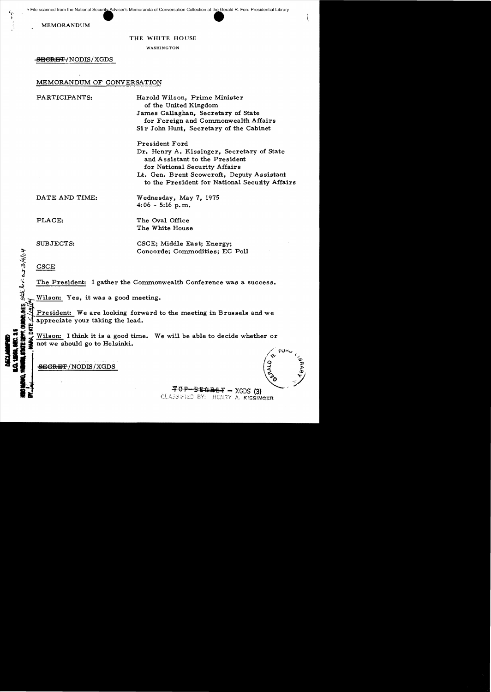MEMORANDUM

#### THE WHITE HOUSE

WASHINGTON

-<del>SECRET-</del>/NODIS/XGDS

### MEMORANDUM OF CONVERSATION

PARTICIPANTS: Harold Wilson, Prime Minister of the United Kingdom James Callaghan, Secretary of State for Foreign and Commonwealth Affairs Sir John Hunt, Secretary of the Cabinet President Ford Dr. Henry A. Kissinger, Secretary of State and Assistant to the President for National Security Affairs

> Lt. Gen. Brent Scowcroft, Deputy Assistant to the President for National Security Affairs

DATE AND TIME: Wednesday, May 7, 1975

PLACE: The Oval Office The White House

 $4:06 - 5:16$  p.m.

SUBJECTS: CSCE; Middle East; Energy;

**CSCE** 

The President: I gather the Commonwealth Conference was a success.<br>Wilson: Yes, it was a good meeting.

Concorde; Commodities; EC Poll<br>
Second CSCE<br>
The President: I gather the Commonwealth Conference was a set of the President: I gather the Commonwealth Conference was a set of the Millson: Yes, it was a good meeting.<br>
Secon President: We are looking forward to the meeting in Brussels and we appreciate your taking the lead.

Wilson: I think it is a good time. We will be able to decide whether or not we should go to Helsinki.  $\frac{1}{2}$  wilson: I think it is a good time. We will be able to decide whether or<br>  $\frac{1}{2}$  and we should go to Helsinki.<br>  $\frac{1}{2}$   $\frac{1}{2}$   $\frac{1}{2}$   $\frac{1}{2}$   $\frac{1}{2}$   $\frac{1}{2}$   $\frac{1}{2}$   $\frac{1}{2}$   $\frac{1}{2}$   $\frac{1}{2$ 

**45.90 -** 50.00 - 50.00

 $TOP-SEGREF-XGDS(3)$ CLASSIFIED BY: HENRY A. KISSINGER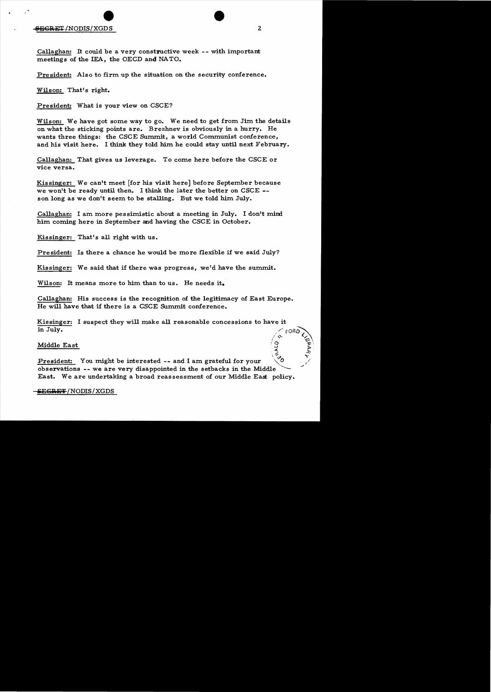Callaghan: It could be a very constructive week -- with important meetings of the IEA, the OECD and NATO.

President: Also to firm up the situation on the security conference.

Wilson: That's right.

President: What is your view on CSCE?

Wilson: We have got some way to go. We need to get from Jim the details on what the sticking points are. Brezhnev is obviously in a hurry. He wants three things: the CSCE Summit, a world Communist conference, and his visit here. I think they told him he could stay until next February.

Callaghan: That gives us leverage. To come here before the CSCE or vice versa.

Kissinger: We can't meet [for his visit here] before September because we won't be ready until then. I think the later the better on CSCE son long as we don't seem to be stalling. But we told him July.

Callaghan: I am more pessimistic about a meeting in July. I don't mind him coming here in September and having the CSCE in October.

Kissinger: That's all right with us.

President: Is there a chance he would be more flexible if we said July?

Kissinger: We said that if there was progress, we'd have the summit.

Wilson: It means more to him than to us. He needs it.

Callaghan: His success is the recognition of the legitimacy of East Europe. He will have that if there is a CSCE Summit conference.

Kissinger: I suspect they will make all reasonable concessions to have it in July.  $\left(\alpha \right)^{1/2}$ 

Middle East  $\begin{pmatrix} \mathcal{Q} & \mathcal{Z} \\ \mathcal{Z} & \mathcal{Z} \end{pmatrix}$ 

 $\mathcal{L}^{\mathcal{L}}(\mathcal{D})$  is a set of  $\mathcal{D}^{\mathcal{L}}$ President: You might be interested -- and I am grateful for your observations -- we are very disappointed in the setbacks in the Middle East. We are undertaking a broad reassessment of our Middle East policy.

### **SEGRET/NODIS/XGDS**

<u>چ</u>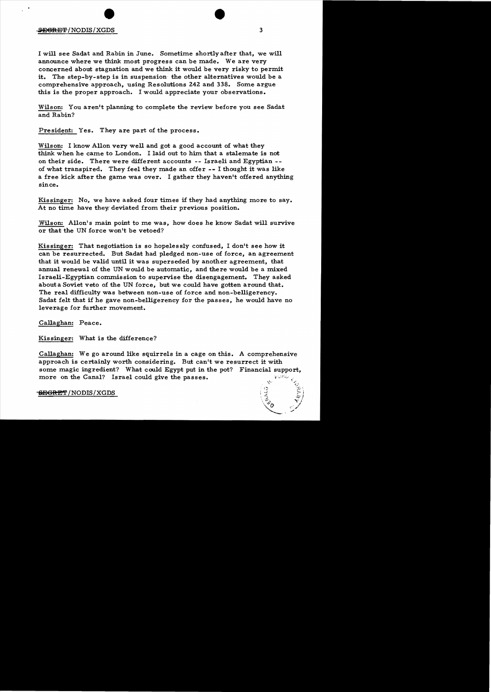## $\frac{1}{2}$ <del>ECRET</del>/NODIS/XGDS 3

I will see Sadat and Rabin in June. Sometime shortly after that, we will announce where we think most progress can be made. We are very concerned about stagnation and we think it would be very risky to permit it. The step-by-step is in suspension the other alternatives would be a comprehensive approach, using Resolutions 242 and 338. Some argue this is the proper approach. I would appreciate your observations.

Wilson: You aren't planning to complete the review before you see Sadat and Rabin?

President: Yes. They are part of the process.

Wilson: I know Allon very well and got a good account of what they think when he carne to London. I laid out to him that a stalemate is not on their side. There were different accounts -- Israeli and Egyptian of what transpired. They feel they made an offer -- I thought it was like a free kick after the game was over. I gather they haven't offered anything since.

Kissinger: No, we have asked four times if they had anything more to say. At no time have they deviated from their previous position.

Wilson: Allon's main point to me was, how does he know Sadat will survive or that the UN force won't be vetoed?

Kissinger: That negotiation is so hopelessly confused, I don't see how it can be resurrected. But Sadat had pledged non-use of force, an agreement that it would be valid until it was superseded by another agreement, that annual renewal of the UN would be automatic, and there would be a mixed Israeli-Egyptian commission to supervise the disengagement. They asked about a Soviet veto of the UN force, but we could have gotten around that. The real difficulty was between non-use of force and non-belligerency. Sadat felt that if he gave non-belligerency for the passes, he would have no leverage for further movement.

Callaghan: Peace.

Kissinger: What is the difference?

Callaghan: We go around like squirrels in a cage on this. A comprehensive approach is certainly worth considering. But can't we resurrect it with some magic ingredient? What could Egypt put in the pot? Financial support,<br>more on the Canal? Israel could give the passes.

<del>SEGRET</del>/NODIS/XGDS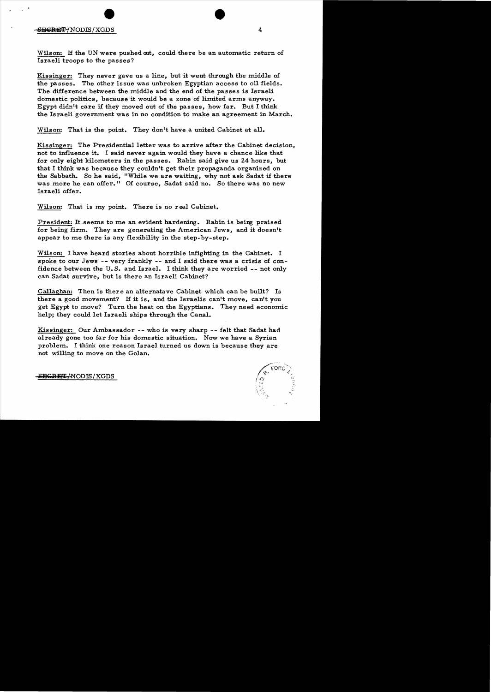Wilson: If the UN were pushed out, could there be an automatic return of Israeli troops to the passes?

Kissinger: They never gave us a line, but it went through the middle of the passes. The other issue was unbroken Egyptian access to oil fields. The difference between the middle and the end of the passes is Israeli domestic politics, because it would be a zone of limited arms anyway. Egypt didn't care if they moved out of the passes, how far. But I think the Israeli government was in no condition to make an agreement in March.

Wilson: That is the point. They don't have a united Cabinet at all.

Kissinger: The Presidential letter was to arrive after the Cabinet decision, not to influence it. I said never again would they have a chance like that for only eight kilometers in the passes. Rabin said give us 24 hours, but that I think was because they couldn't get their propaganda organized on the Sabbath. So he said, "While we are waiting, why not ask Sadat if there was more he can offer." Of course, Sadat said no. So there was no new Israeli offer.

Wilson: That is my point. There is no real Cabinet.

President: It seems to me an evident hardening. Rabin is being praised for being firm. They are generating the American Jews, and it doesn't appear to me there is any flexibility in the step-by-step.

Wilson: I have heard stories about horrible infighting in the Cabinet. I spoke to our Jews -- very frankly -- and I said there was a crisis of confidence between the U. S. and Israel. I think they are worried -- not only can Sadat survive, but is there an Israeli Cabinet?

Callaghan: Then is there an alternatave Cabinet which can be built? Is there a good movement? If it is, and the Israelis can't move, can't you get Egypt to move? Turn the heat on the Egyptians. They need economic help; they could let Israeli ships through the Canal.

Kissinger: Our Ambassador -- who is very sharp -- felt that Sadat had already gone too far for his domestic situation. Now we have a Syrian problem. I think one reason Israel turned us down is because they are not willing to move on the Golan.



<del>SECRET/</del>NODIS/XGDS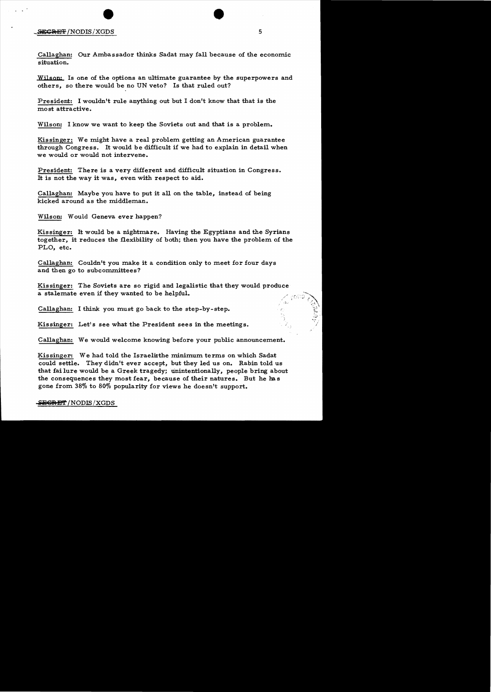# exception of the Second Second in the Second Second in the Second Second in the Second Second Second Second Second Second Second Second Second Second Second Second Second Second Second Second Second Second Second Second Se

Callaghan: Our Ambassador thinks Sadat may fall because of the economic situation.

Wilson: Is one of the options an ultimate guarantee by the superpowers and others, so there would be no UN veto? Is that ruled out?

President: I wouldn't rule anything out but I don't know that that is the most attractive.

Wilson: I know we want to keep the Soviets out and that is a problem.

Kissinger: We might have a real problem getting an American guarantee through Congress. It would be difficult if we had to explain in detail when we would or would not intervene.

President: There is a very different and difficult situation in Congress. It is not the way it was, even with respect to aid.

Callaghan: Maybe you have to put it all on the table, instead of being kicked around as the middleman.

Wilson: Would Geneva ever happen?

Kissinger: It would be a nightmare. Having the Egyptians and the Syrians together, it reduces the flexibility of both; then you have the problem of the PLO, etc.

Callaghan: Couldn't you make it a condition only to meet for four days and then go to subcommittees?

Kis singer: The Soviets are so rigid and legalistic that they would produce a stalemate even if they wanted to be helpful.

Callaghan: I think you must go back to the step-by-step.

Kissinger: Let's see what the President sees in the meetings.

Callaghan: We would welcome knowing before your public announcement.

Kissinger: We had told the Israelisthe minimum terms on which Sadat could settle. They didn't ever accept, but they led us on. Rabin told us that fai lure would be a Greek tragedy; unintentionally, people bring about the consequences they most fear, because of their natures. But he has gone from 38% to 80% popularity for views he doesn't support.

### **i15€1iUS"l"**INODIS /XGDS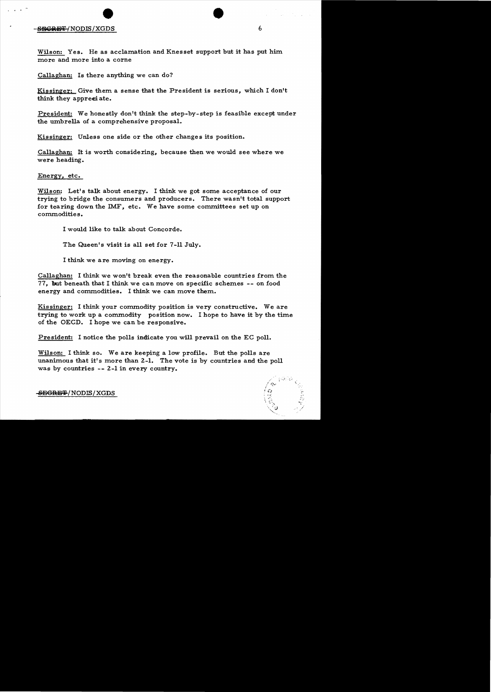Wilson: Yes. He as acclamation and Knesset support but it has put him more and more into a corne

Callaghan: Is there anything we can do?

Kissinger: Give them a sense that the President is serious, which I don't think they appreciate.

President: We honestly don't think the step-by-step is feasible except under the umbrella of a comprehensive proposal.

Kissinger: Unless one side or the other changes its position.

Callaghan: It is worth considering, because then we would see where we were heading.

Energy, etc.

Wilson: Let's talk about energy. I think we got some acceptance of our trying to bridge the consumers and producers. There wasn't total support for tearing down the IMF, etc. We have some committees set up on commodities.

I would like to talk about Concorde.

The Queen's visit is all set for 7-11 July.

I think we are moving on energy.

Callaghan: I think we won't break even the reasonable countries from the 77, but beneath that I think we can move on specific schemes -- on food energy and commodities. I think we can move them.

Kissinger: I think your commodity position is very constructive. We are trying to work up a commodity position now. I hope to have it by the time of the OECD. I hope we can be responsive.

President: I notice the polls indicate you will prevail on the EC poll.

Wilson: I think so. We are keeping a low profile. But the polls are unanimous that it's more than 2-1. The vote is by countries and the poll was by countries -- 2-1 in every country.

 $-$ SEGRE $\pm$ /NODIS/XGDS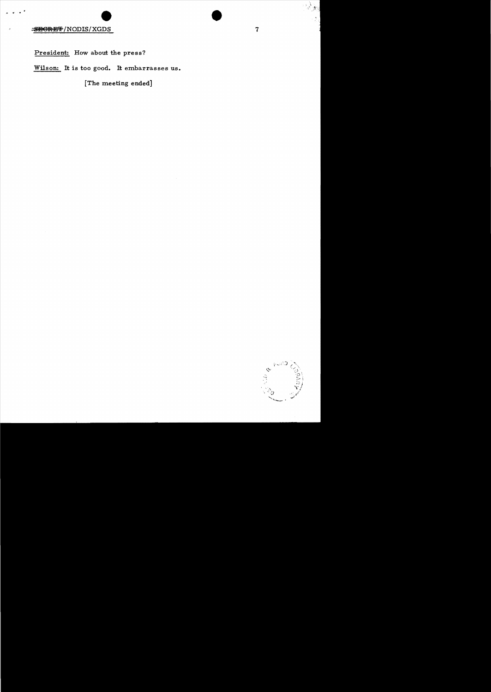President: How about the press?

Wilson: It is too good. It embarrasses us.

[The meeting ended]



်နှံ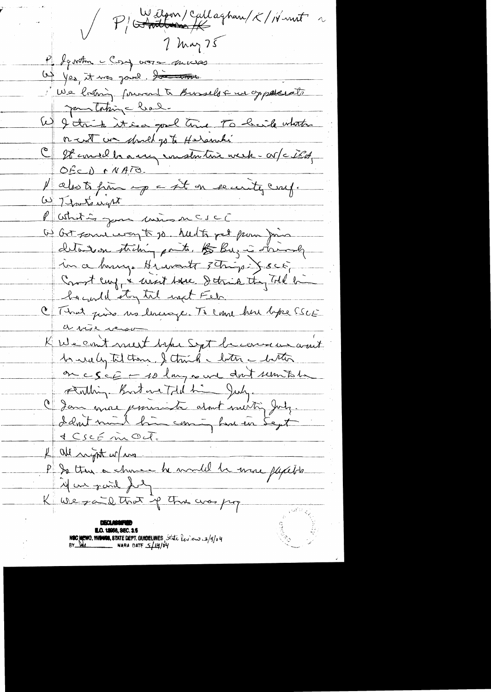P (Stattern) Callaghan/K/Nunt ~  $7$  May 75 P Jernton clory voire moises 1) yes, it was joint. Sometime We brown forward to Bussels & we oppelesate Jem taking had. W I trich it is a good trice To buile whather or a whather the contract of the same time week - or / c ild, OfcD MATO Makots finn up a sit on evenity craf. W Thatswart P Whitis jour mins n CSCC W Got some way to jo. hudts get pour Join detailed tribing parts. to Buris records in a banque Hrusant 3 Trigo Joco, Court cup & uset have Strik they Toll bi hacond stay til next Feb. C That piùs no livinge. Té cane hui bpe SSCE a vise verso K We count mest before Sept becomes won't 1 ruely til them, I think Inter - bitter on cscE - 10 long aud don't remitate Faithing Boat we Told him July. C Jan mac jessenite atout sautin July. & all night w/m P to the or chance he would be use pyceto. 14 une paid for K We zaid that if the was pop **NOC MEMO, MANGO, STATE DEPT. GUIDELINES**, State  $l_{\ell}$ , en  $\frac{3}{4}$ /9/14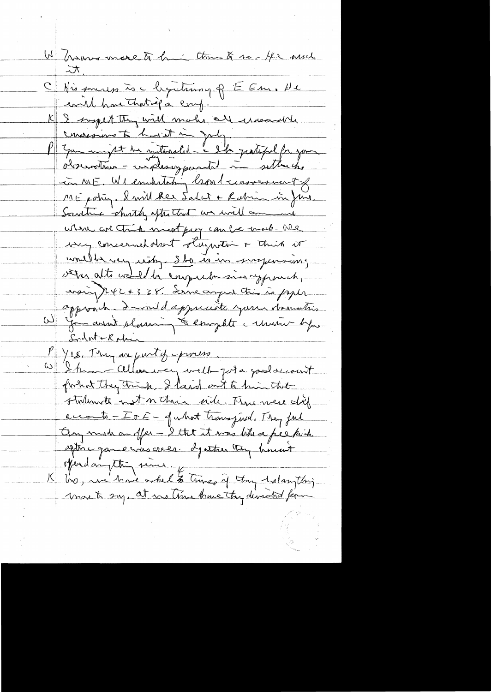W Grows more to be them & no fe and  $\pi$ C Nissouris is chepitrium of EEm, de evil have that if a coup. I suspect they will make all iresound consessions to harit in July. Juin might the saturated - I'de partiful for your in NIE. We embititing broad massesment of ME potin. I will be salat + Rabin in June. Sautrice shortly spt that we will arrive where are think must pary can be made - We way concerned don't stagasting + this it unille very uitz sto is in suspensions vern alte valled la computation approach, noin 7242 & 38. Soine august tris ro paper approach - I would approachte your documenties W you aren't plasming to emplot a union byan <u>Sylwtekphin</u> P Yes. They are put of process. W Ihm allowing well-jota podaciont forhost they think, I laid out to him that stalante not notair side. Thus were dief ecconte - Ir E - quhot transfired. They ful Un mode on offer - I the it was like a pee kish aptin qui le vous creer. Igatter trong himsent Kolar thing since to time of thy halangthing more to say, at no time they demand form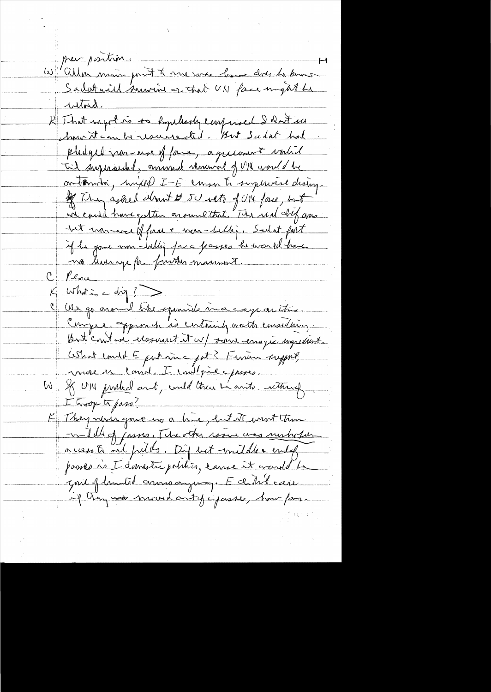preveposition W allen moins point to me was love does to know <u>utord.</u> R That ingot to to hypelessly confined I don't see chosen it can be resurred . But Sudat had physic more of face, agricult valid Til surpraiched, annual rammed of UM would be on tomotri, hyjeld I-E consor to supervise dising. of They asked down to 50 with of UK face, but wie could have getten around that. "The real dif ans <del>det un wei</del>ffna + men-bellig. Sadat fort if he gave som - Willie face passes he would have no luning for further manus . Plove  $with \vec{m} = \vec{d} \vec{m}$ Us go around like squared macage on this. Curryse. opproach is certainly wath emselling. But contain assumet it w/ some enagie ingredient. What emitate part ma pat ? Finan support, mere un consol. I institué prise. W & UN purkel and, und then he anto internet I Trop to pass! K They never gove us a hie, but it went then malille of passes. The other resume was unhorse access to and fulls. Dif but middle embg passes no I domestre politico, cance it wand be Jone of landid anno anyong. E de til care if they was moved antycipasses, how form.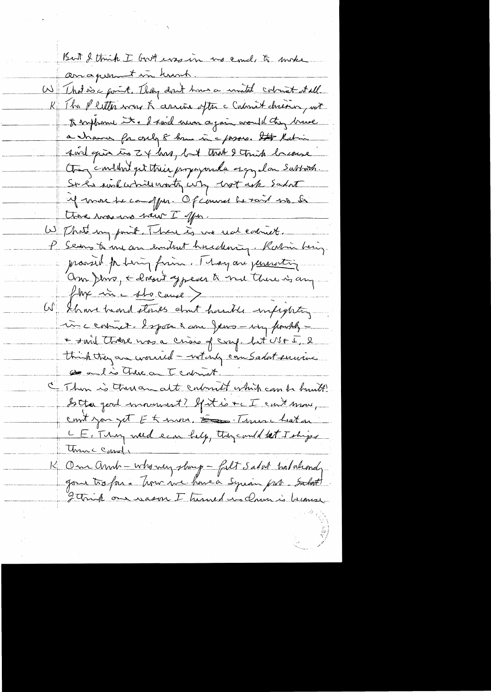But I think I God eros in us could to make anaponent in hunch. W That is a goint. They don't have a mutal colourt stall K The P letter was K assine often a Contenant chairing not to implame it. I said never again would they brave a chance for only 8 km in a passes. It Kutin <u>sind quin ins Z + hrs, but that I think because</u> tous content pet trie propagande esquela Sabbach. Si le suil while wonty why wort ask sadat Me more de comppar. Of courant be raid no be there was no haw I offer. W That my paint. There is no use coloniet. P Serves to une an embrat husedening. Ratin being provid pr Lingfinn. I hay are pensionting. On Jins, & dresst ypear to me there is any  $fln\epsilon$  in c stocause  $>$ W Shows hand stocks about hastile impeghting incenture & spoke a am Jeus - why finctily -+ said thouse was a crisis of craf. Let US + I, 2 think they are warried - withing com Sadat envious Or a lis There on I calment " I Then is there and calment which can be built Sotta gerd movement? If it is + c I can't move, cont you get Et mon, Esse Tranc Laton CE, Thy ward each belg, they could let I ships Unic Candi K One and - who my shing - filt sadat hatakondy gone to for a Time we have a Syrian put. Salot I Trick one wason I turned in dame is because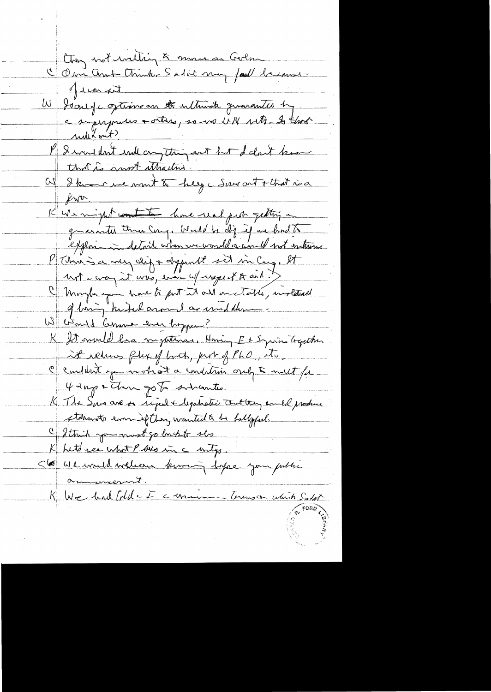Chon not inition à mouve en Godon<br>C Om Ant Chink Sadit my fait because Jean pet W Joney continuan la nativité quarantée les rullitant? Parmellent endeau thing ant hat deloit know W I known me wont to help were out + that is a  $k_{\rm W}$ K We might wont to have real part getting in grantes the Cong. Would be dig if we had to exploring in detail when we would or would not entrurne l'Thur is a meg dig + dypent set in Cong, et unt comez it was, even up uspect to and it 1 Moybe you have to get it all one table, instead of bing kikel around as wind dum. W ciente Comma en hoppen? R It mould ha mysternas, Honing Et Equin Trapether at rebus fly of both, put of PhO, Mo, c'emblement que voule at a condition and to meet for-4 days & The go to subcantes. K The Sun are on riged + legatistic Ant trans and produce statements evening they wanted to be hollopped. Cathich you must go bush to she K het ree what P sus in a mity. 56 We mult welcome kiming lifee your pille <u>on mesut.</u> K We had [Ad - I commencement commence union Salat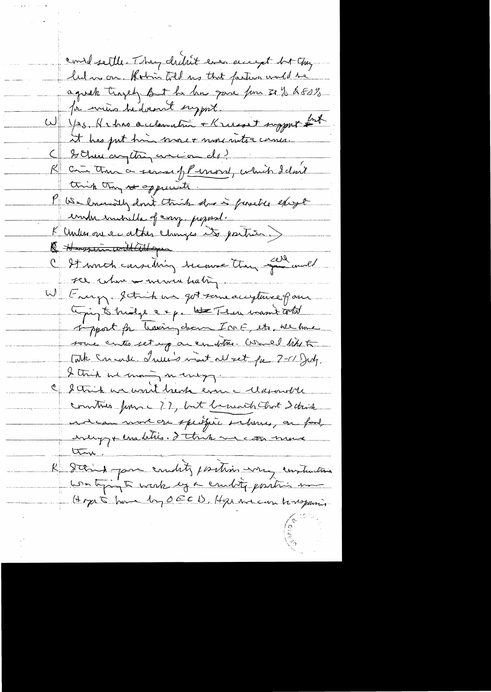consol settle. They chilit even encyt but they lulars on. Kohn told us that farture would be agnet traged, fort he has gone for 31 % & 80% for writing hedovant support W Yes, He has acclemation + Krisset support and it has jut him more + more nutra camer. Chemicrythique de l'anis de la formation de la forme think they it appeciate. P We low and for this does functie except inder intribute of cong pepost. K Center avec attes changes et parties) R Hussin with all you C St moth considéring become them sail uned see when a mementaling. W Lung Strich us got some accepture of one though to trialge a & p. late Their mant cold impart for having chem In E. etc. We have some crites set up are un films. Would like to Cath Crimble Lumis met all set fa 7-11 July. I think we many many C Strik un won't hear even a Maxourble communs funs (22, but beneath that I think entern mort on speispic salvenes, on food enempt enablies. d'étrin me con mons ton. K Staint par coudity parties were construction